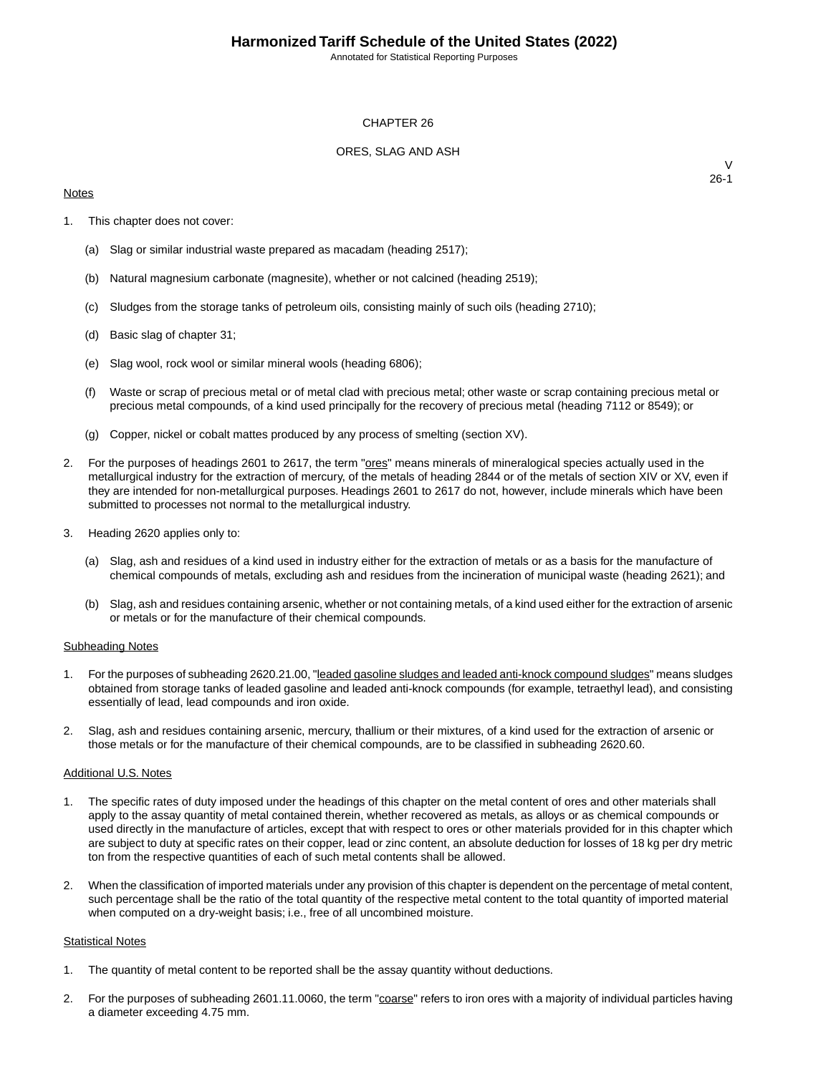Annotated for Statistical Reporting Purposes

#### CHAPTER 26

### ORES, SLAG AND ASH

#### **Notes**

 $\vee$ 26-1

- 1. This chapter does not cover:
	- (a) Slag or similar industrial waste prepared as macadam (heading 2517);
	- (b) Natural magnesium carbonate (magnesite), whether or not calcined (heading 2519);
	- (c) Sludges from the storage tanks of petroleum oils, consisting mainly of such oils (heading 2710);
	- (d) Basic slag of chapter 31;
	- (e) Slag wool, rock wool or similar mineral wools (heading 6806);
	- (f) Waste or scrap of precious metal or of metal clad with precious metal; other waste or scrap containing precious metal or precious metal compounds, of a kind used principally for the recovery of precious metal (heading 7112 or 8549); or
	- (g) Copper, nickel or cobalt mattes produced by any process of smelting (section XV).
- 2. For the purposes of headings 2601 to 2617, the term "**ores"** means minerals of mineralogical species actually used in the metallurgical industry for the extraction of mercury, of the metals of heading 2844 or of the metals of section XIV or XV, even if they are intended for non-metallurgical purposes. Headings 2601 to 2617 do not, however, include minerals which have been submitted to processes not normal to the metallurgical industry.
- 3. Heading 2620 applies only to:
	- (a) Slag, ash and residues of a kind used in industry either for the extraction of metals or as a basis for the manufacture of chemical compounds of metals, excluding ash and residues from the incineration of municipal waste (heading 2621); and
	- (b) Slag, ash and residues containing arsenic, whether or not containing metals, of a kind used either for the extraction of arsenic or metals or for the manufacture of their chemical compounds.

#### Subheading Notes

- 1. For the purposes of subheading 2620.21.00, "leaded gasoline sludges and leaded anti-knock compound sludges" means sludges obtained from storage tanks of leaded gasoline and leaded anti-knock compounds (for example, tetraethyl lead), and consisting essentially of lead, lead compounds and iron oxide.
- 2. Slag, ash and residues containing arsenic, mercury, thallium or their mixtures, of a kind used for the extraction of arsenic or those metals or for the manufacture of their chemical compounds, are to be classified in subheading 2620.60.

#### Additional U.S. Notes

- 1. The specific rates of duty imposed under the headings of this chapter on the metal content of ores and other materials shall apply to the assay quantity of metal contained therein, whether recovered as metals, as alloys or as chemical compounds or used directly in the manufacture of articles, except that with respect to ores or other materials provided for in this chapter which are subject to duty at specific rates on their copper, lead or zinc content, an absolute deduction for losses of 18 kg per dry metric ton from the respective quantities of each of such metal contents shall be allowed.
- 2. When the classification of imported materials under any provision of this chapter is dependent on the percentage of metal content, such percentage shall be the ratio of the total quantity of the respective metal content to the total quantity of imported material when computed on a dry-weight basis; i.e., free of all uncombined moisture.

#### **Statistical Notes**

- 1. The quantity of metal content to be reported shall be the assay quantity without deductions.
- 2. For the purposes of subheading 2601.11.0060, the term "coarse" refers to iron ores with a majority of individual particles having a diameter exceeding 4.75 mm.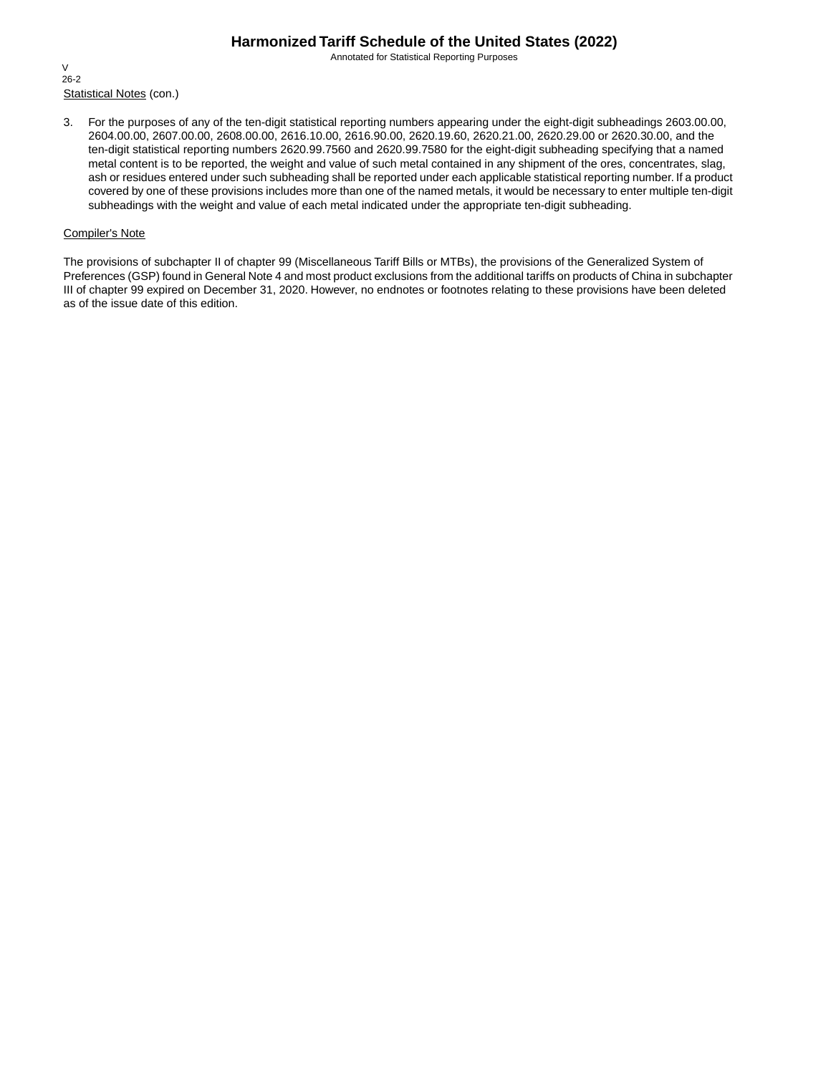Annotated for Statistical Reporting Purposes

Statistical Notes (con.) V 26-2

3. For the purposes of any of the ten-digit statistical reporting numbers appearing under the eight-digit subheadings 2603.00.00, 2604.00.00, 2607.00.00, 2608.00.00, 2616.10.00, 2616.90.00, 2620.19.60, 2620.21.00, 2620.29.00 or 2620.30.00, and the ten-digit statistical reporting numbers 2620.99.7560 and 2620.99.7580 for the eight-digit subheading specifying that a named metal content is to be reported, the weight and value of such metal contained in any shipment of the ores, concentrates, slag, ash or residues entered under such subheading shall be reported under each applicable statistical reporting number. If a product covered by one of these provisions includes more than one of the named metals, it would be necessary to enter multiple ten-digit subheadings with the weight and value of each metal indicated under the appropriate ten-digit subheading.

### Compiler's Note

The provisions of subchapter II of chapter 99 (Miscellaneous Tariff Bills or MTBs), the provisions of the Generalized System of Preferences (GSP) found in General Note 4 and most product exclusions from the additional tariffs on products of China in subchapter III of chapter 99 expired on December 31, 2020. However, no endnotes or footnotes relating to these provisions have been deleted as of the issue date of this edition.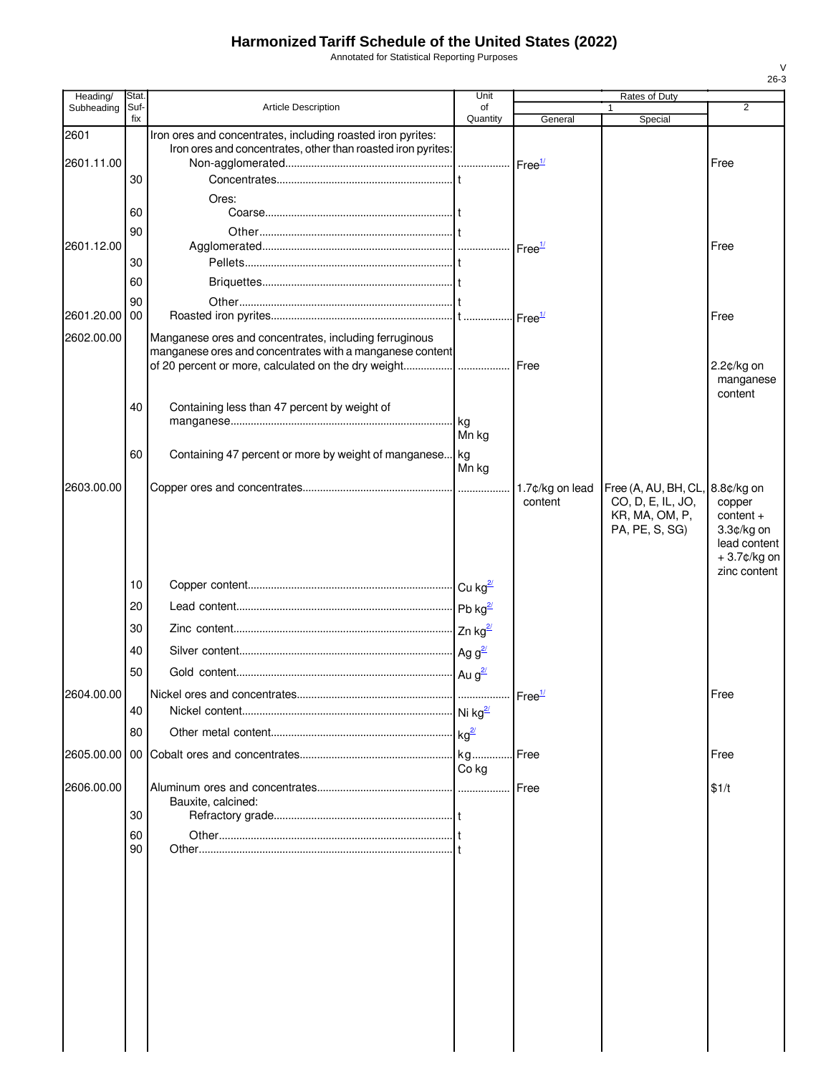Annotated for Statistical Reporting Purposes

| Heading/           | Stat.          |                                                                                                                                                                                  | Unit                 |                            | Rates of Duty                                                                            |                                                                                      |
|--------------------|----------------|----------------------------------------------------------------------------------------------------------------------------------------------------------------------------------|----------------------|----------------------------|------------------------------------------------------------------------------------------|--------------------------------------------------------------------------------------|
| Subheading         | Suf-<br>fix    | <b>Article Description</b>                                                                                                                                                       | of<br>Quantity       | General                    | Special                                                                                  | $\overline{2}$                                                                       |
| 2601<br>2601.11.00 | 30             | Iron ores and concentrates, including roasted iron pyrites:<br>Iron ores and concentrates, other than roasted iron pyrites:                                                      |                      |                            |                                                                                          | Free                                                                                 |
|                    | 60             | Ores:                                                                                                                                                                            |                      |                            |                                                                                          |                                                                                      |
| 2601.12.00         | 90<br>30       |                                                                                                                                                                                  |                      |                            |                                                                                          | Free                                                                                 |
| 2601.20.00 00      | 60<br>90       |                                                                                                                                                                                  |                      |                            |                                                                                          | Free                                                                                 |
| 2602.00.00         |                | Manganese ores and concentrates, including ferruginous<br>manganese ores and concentrates with a manganese content<br>of 20 percent or more, calculated on the dry weight   Free |                      |                            |                                                                                          | 2.2¢/kg on                                                                           |
|                    | 40             | Containing less than 47 percent by weight of                                                                                                                                     | kg                   |                            |                                                                                          | manganese<br>content                                                                 |
|                    | 60             | Containing 47 percent or more by weight of manganese                                                                                                                             | Mn kg<br>kg<br>Mn kg |                            |                                                                                          |                                                                                      |
| 2603.00.00         |                |                                                                                                                                                                                  |                      | 1.7¢/kg on lead<br>content | Free (A, AU, BH, CL, 8.8¢/kg on<br>CO, D, E, IL, JO,<br>KR, MA, OM, P,<br>PA, PE, S, SG) | copper<br>$content +$<br>$3.3¢/kg$ on<br>lead content<br>+3.7¢/kg on<br>zinc content |
|                    | 10             |                                                                                                                                                                                  |                      |                            |                                                                                          |                                                                                      |
|                    | 20             |                                                                                                                                                                                  |                      |                            |                                                                                          |                                                                                      |
|                    | 30             |                                                                                                                                                                                  |                      |                            |                                                                                          |                                                                                      |
|                    | 40             |                                                                                                                                                                                  |                      |                            |                                                                                          |                                                                                      |
|                    | 50             |                                                                                                                                                                                  |                      |                            |                                                                                          |                                                                                      |
| 2604.00.00         |                |                                                                                                                                                                                  |                      |                            |                                                                                          |                                                                                      |
|                    | 40             |                                                                                                                                                                                  |                      |                            |                                                                                          | Free                                                                                 |
|                    | 80             |                                                                                                                                                                                  |                      |                            |                                                                                          |                                                                                      |
|                    |                |                                                                                                                                                                                  | Co kg                |                            |                                                                                          | Free                                                                                 |
| 2606.00.00         | 30<br>60<br>90 | Bauxite, calcined:                                                                                                                                                               |                      | <b>IFree</b>               |                                                                                          | \$1/t                                                                                |
|                    |                |                                                                                                                                                                                  |                      |                            |                                                                                          |                                                                                      |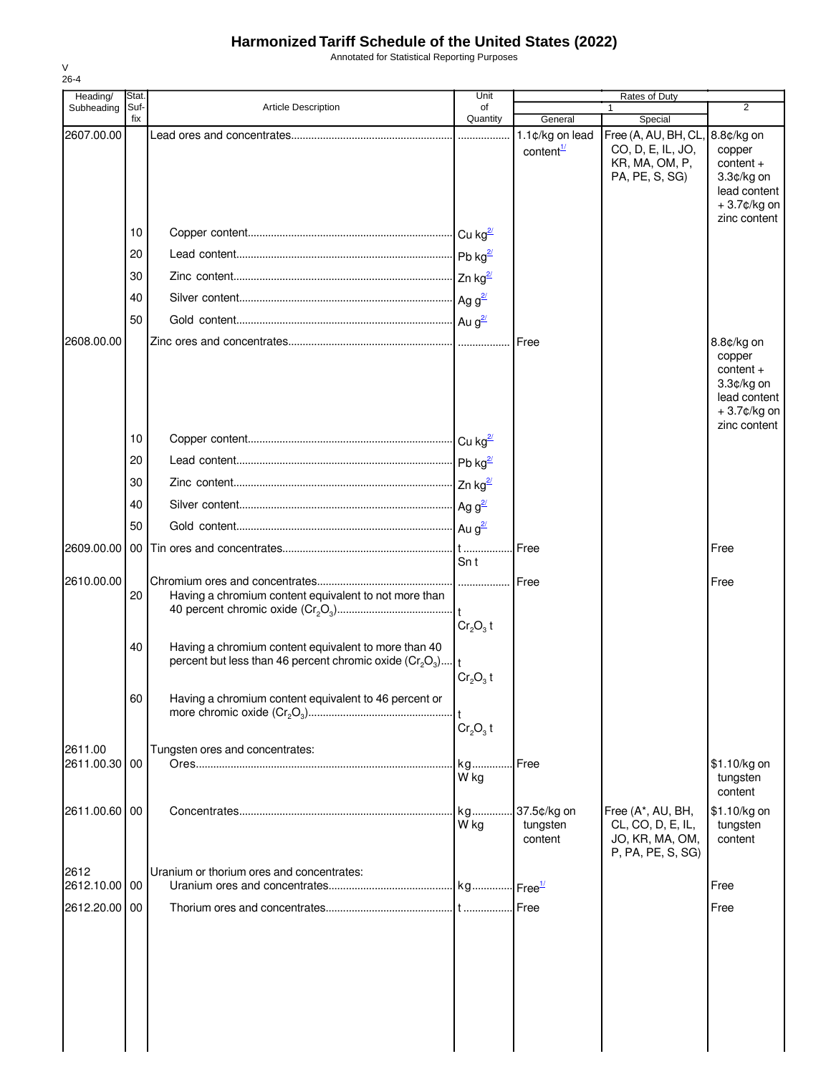Annotated for Statistical Reporting Purposes

| ۰. |  |
|----|--|

| Heading/      | Stat.       |                                                                                                                                 | Unit           |                                          | Rates of Duty                                                                  |                                                                                                  |
|---------------|-------------|---------------------------------------------------------------------------------------------------------------------------------|----------------|------------------------------------------|--------------------------------------------------------------------------------|--------------------------------------------------------------------------------------------------|
| Subheading    | Suf-<br>fix | <b>Article Description</b>                                                                                                      | of<br>Quantity | General                                  | Special                                                                        | $\overline{2}$                                                                                   |
| 2607.00.00    |             |                                                                                                                                 |                | 1.1¢/kg on lead<br>content $\frac{1}{2}$ | Free (A, AU, BH, CL,<br>CO, D, E, IL, JO,<br>KR, MA, OM, P,<br>PA, PE, S, SG)  | 8.8¢/kg on<br>copper<br>$content +$<br>3.3¢/kg on<br>lead content<br>+3.7¢/kg on                 |
|               | 10          |                                                                                                                                 |                |                                          |                                                                                | zinc content                                                                                     |
|               | 20          |                                                                                                                                 |                |                                          |                                                                                |                                                                                                  |
|               | 30          |                                                                                                                                 |                |                                          |                                                                                |                                                                                                  |
|               | 40          |                                                                                                                                 |                |                                          |                                                                                |                                                                                                  |
|               | 50          |                                                                                                                                 |                |                                          |                                                                                |                                                                                                  |
| 2608.00.00    |             |                                                                                                                                 |                | Free                                     |                                                                                | 8.8¢/kg on<br>copper<br>$content +$<br>3.3¢/kg on<br>lead content<br>+3.7¢/kg on<br>zinc content |
|               | 10          |                                                                                                                                 |                |                                          |                                                                                |                                                                                                  |
|               | 20          |                                                                                                                                 |                |                                          |                                                                                |                                                                                                  |
|               | 30          |                                                                                                                                 |                |                                          |                                                                                |                                                                                                  |
|               | 40          |                                                                                                                                 |                |                                          |                                                                                |                                                                                                  |
|               | 50          |                                                                                                                                 |                |                                          |                                                                                |                                                                                                  |
| 2609.00.00    | 00          |                                                                                                                                 | Sn t           | Free                                     |                                                                                | Free                                                                                             |
| 2610.00.00    | 20          | Having a chromium content equivalent to not more than                                                                           | $Cr2O3$ t      |                                          |                                                                                | Free                                                                                             |
|               | 40          | Having a chromium content equivalent to more than 40<br>percent but less than 46 percent chromic oxide $(Cr_2O_3)$ <sub>1</sub> | $Cr2O3$ t      |                                          |                                                                                |                                                                                                  |
|               | 60          | Having a chromium content equivalent to 46 percent or                                                                           | $Cr_2O_3$ t    |                                          |                                                                                |                                                                                                  |
| 2611.00       |             | Tungsten ores and concentrates:                                                                                                 |                |                                          |                                                                                |                                                                                                  |
| 2611.00.30 00 |             |                                                                                                                                 | kg<br>W kg     | l Free                                   |                                                                                | \$1.10/kg on<br>tungsten<br>content                                                              |
| 2611.00.60 00 |             |                                                                                                                                 | kg<br>W kg     | 37.5¢/kg on<br>tungsten<br>content       | Free (A*, AU, BH,<br>CL, CO, D, E, IL,<br>JO, KR, MA, OM,<br>P, PA, PE, S, SG) | \$1.10/kg on<br>tungsten<br>content                                                              |
| 2612          |             | Uranium or thorium ores and concentrates:                                                                                       |                |                                          |                                                                                |                                                                                                  |
| 2612.10.00 00 |             |                                                                                                                                 |                |                                          |                                                                                | Free                                                                                             |
| 2612.20.00 00 |             |                                                                                                                                 |                |                                          |                                                                                | Free                                                                                             |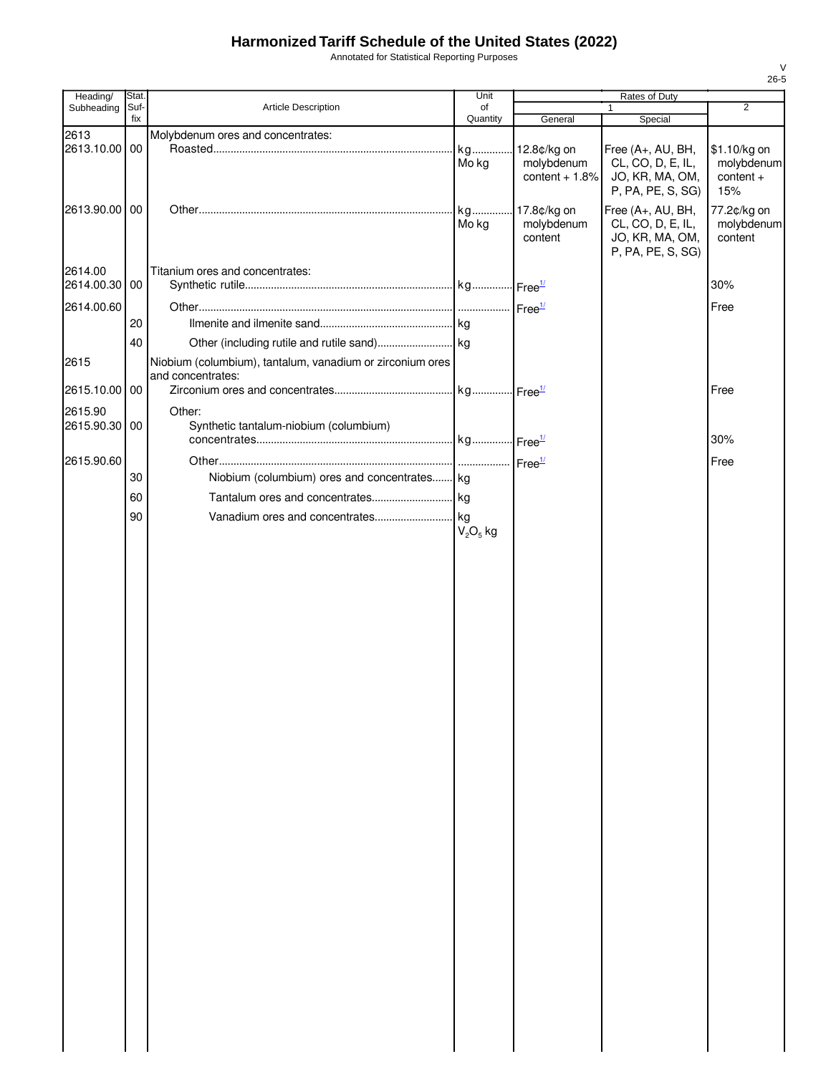Annotated for Statistical Reporting Purposes

| Heading/      | Stat.       |                                                           |                | Unit             |                   | Rates of Duty |  |
|---------------|-------------|-----------------------------------------------------------|----------------|------------------|-------------------|---------------|--|
| Subheading    | Suf-<br>fix | <b>Article Description</b>                                | of<br>Quantity | General          | 1<br>Special      | 2             |  |
| 2613          |             | Molybdenum ores and concentrates:                         |                |                  |                   |               |  |
| 2613.10.00 00 |             |                                                           | kg             | 12.8¢/kg on      | Free (A+, AU, BH, | \$1.10/kg on  |  |
|               |             |                                                           | Mo kg          | molybdenum       | CL, CO, D, E, IL, | molybdenum    |  |
|               |             |                                                           |                | content $+1.8\%$ | JO, KR, MA, OM,   | $content +$   |  |
|               |             |                                                           |                |                  | P, PA, PE, S, SG) | 15%           |  |
| 2613.90.00    | 00          |                                                           | kg             | 17.8¢/kg on      | Free (A+, AU, BH, | 77.2¢/kg on   |  |
|               |             |                                                           | Mo kg          | molybdenum       | CL, CO, D, E, IL, | molybdenum    |  |
|               |             |                                                           |                | content          | JO, KR, MA, OM,   | content       |  |
|               |             |                                                           |                |                  | P, PA, PE, S, SG) |               |  |
| 2614.00       |             | Titanium ores and concentrates:                           |                |                  |                   |               |  |
| 2614.00.30    | 00          |                                                           |                |                  |                   | 30%           |  |
| 2614.00.60    |             |                                                           |                |                  |                   | Free          |  |
|               |             |                                                           |                |                  |                   |               |  |
|               | 20          |                                                           |                |                  |                   |               |  |
|               | 40          |                                                           |                |                  |                   |               |  |
| 2615          |             | Niobium (columbium), tantalum, vanadium or zirconium ores |                |                  |                   |               |  |
|               |             | and concentrates:                                         |                |                  |                   |               |  |
| 2615.10.00    | 00          |                                                           |                |                  |                   | Free          |  |
| 2615.90       |             | Other:                                                    |                |                  |                   |               |  |
| 2615.90.30 00 |             | Synthetic tantalum-niobium (columbium)                    |                |                  |                   |               |  |
|               |             |                                                           |                |                  |                   | 30%           |  |
|               |             |                                                           |                |                  |                   |               |  |
| 2615.90.60    |             |                                                           |                |                  |                   | Free          |  |
|               | 30          | Niobium (columbium) ores and concentrates kg              |                |                  |                   |               |  |
|               | 60          |                                                           |                |                  |                   |               |  |
|               | 90          |                                                           |                |                  |                   |               |  |
|               |             |                                                           | $V_2O_5$ kg    |                  |                   |               |  |
|               |             |                                                           |                |                  |                   |               |  |
|               |             |                                                           |                |                  |                   |               |  |
|               |             |                                                           |                |                  |                   |               |  |
|               |             |                                                           |                |                  |                   |               |  |
|               |             |                                                           |                |                  |                   |               |  |
|               |             |                                                           |                |                  |                   |               |  |
|               |             |                                                           |                |                  |                   |               |  |
|               |             |                                                           |                |                  |                   |               |  |
|               |             |                                                           |                |                  |                   |               |  |
|               |             |                                                           |                |                  |                   |               |  |
|               |             |                                                           |                |                  |                   |               |  |
|               |             |                                                           |                |                  |                   |               |  |
|               |             |                                                           |                |                  |                   |               |  |
|               |             |                                                           |                |                  |                   |               |  |
|               |             |                                                           |                |                  |                   |               |  |
|               |             |                                                           |                |                  |                   |               |  |
|               |             |                                                           |                |                  |                   |               |  |
|               |             |                                                           |                |                  |                   |               |  |
|               |             |                                                           |                |                  |                   |               |  |
|               |             |                                                           |                |                  |                   |               |  |
|               |             |                                                           |                |                  |                   |               |  |
|               |             |                                                           |                |                  |                   |               |  |
|               |             |                                                           |                |                  |                   |               |  |
|               |             |                                                           |                |                  |                   |               |  |
|               |             |                                                           |                |                  |                   |               |  |
|               |             |                                                           |                |                  |                   |               |  |
|               |             |                                                           |                |                  |                   |               |  |
|               |             |                                                           |                |                  |                   |               |  |
|               |             |                                                           |                |                  |                   |               |  |
|               |             |                                                           |                |                  |                   |               |  |
|               |             |                                                           |                |                  |                   |               |  |
|               |             |                                                           |                |                  |                   |               |  |
|               |             |                                                           |                |                  |                   |               |  |
|               |             |                                                           |                |                  |                   |               |  |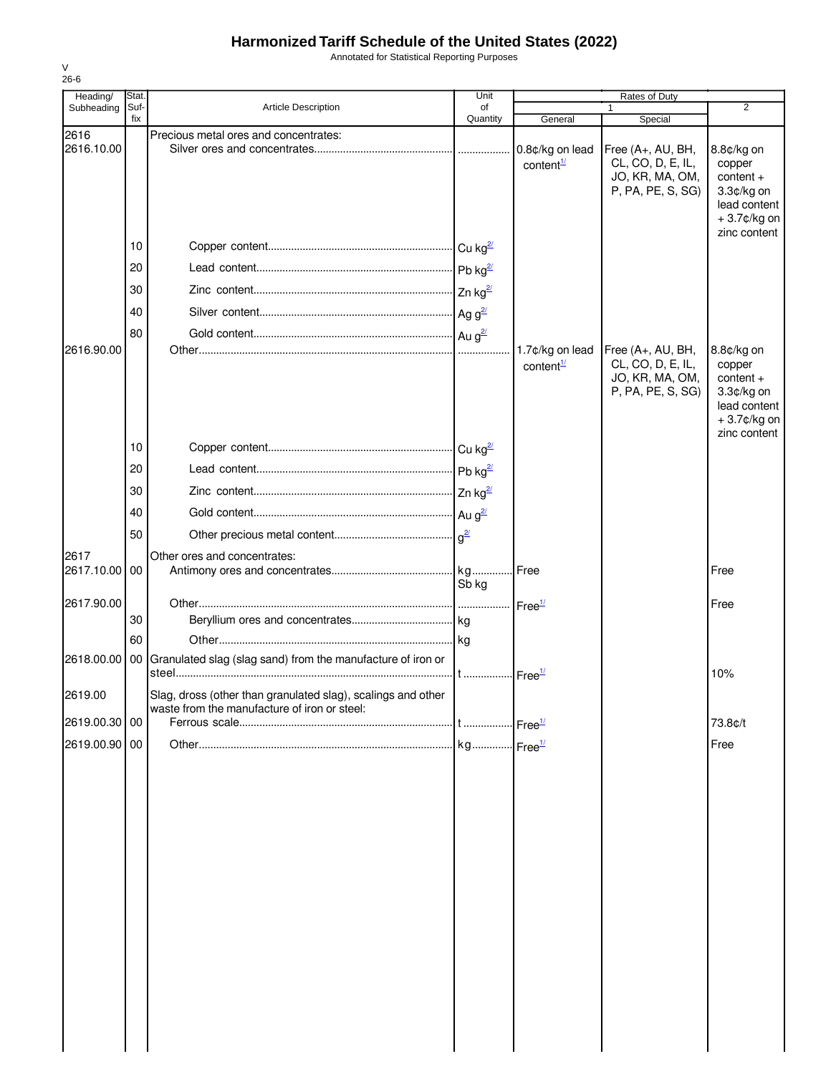Annotated for Statistical Reporting Purposes

| Heading/           | Stat.           |                                                                                                              | Unit                 | Rates of Duty                            |                                                                                |                                                                                                     |
|--------------------|-----------------|--------------------------------------------------------------------------------------------------------------|----------------------|------------------------------------------|--------------------------------------------------------------------------------|-----------------------------------------------------------------------------------------------------|
| Subheading         | Suf-<br>fix     | <b>Article Description</b>                                                                                   | of<br>Quantity       | General                                  | 1<br>Special                                                                   | 2                                                                                                   |
| 2616<br>2616.10.00 |                 | Precious metal ores and concentrates:                                                                        |                      | 0.8¢/kg on lead<br>content <sup>1/</sup> | Free (A+, AU, BH,<br>CL, CO, D, E, IL,<br>JO, KR, MA, OM,<br>P, PA, PE, S, SG) | 8.8¢/kg on<br>copper<br>content +<br>$3.3¢/kg$ on<br>lead content<br>+3.7¢/kg on<br>zinc content    |
|                    | 10              |                                                                                                              | Cu kg $\frac{2l}{2}$ |                                          |                                                                                |                                                                                                     |
|                    | 20              |                                                                                                              |                      |                                          |                                                                                |                                                                                                     |
|                    | 30              |                                                                                                              |                      |                                          |                                                                                |                                                                                                     |
|                    | 40              |                                                                                                              |                      |                                          |                                                                                |                                                                                                     |
|                    | 80              |                                                                                                              |                      |                                          |                                                                                |                                                                                                     |
| 2616.90.00         |                 |                                                                                                              |                      | 1.7¢/kg on lead<br>content $\frac{1}{2}$ | Free (A+, AU, BH,<br>CL, CO, D, E, IL,<br>JO, KR, MA, OM,<br>P, PA, PE, S, SG) | 8.8¢/kg on<br>copper<br>$content +$<br>3.3¢/kg on<br>lead content<br>$+3.7$ ¢/kg on<br>zinc content |
|                    | 10              |                                                                                                              |                      |                                          |                                                                                |                                                                                                     |
|                    | 20              |                                                                                                              |                      |                                          |                                                                                |                                                                                                     |
|                    | 30              |                                                                                                              |                      |                                          |                                                                                |                                                                                                     |
|                    | 40              |                                                                                                              |                      |                                          |                                                                                |                                                                                                     |
|                    | 50              |                                                                                                              | $q^{\underline{2}/}$ |                                          |                                                                                |                                                                                                     |
| 2617               |                 | Other ores and concentrates:                                                                                 |                      |                                          |                                                                                |                                                                                                     |
| 2617.10.00         | 00              |                                                                                                              |                      |                                          |                                                                                | Free                                                                                                |
|                    |                 |                                                                                                              | Sb kg                |                                          |                                                                                |                                                                                                     |
| 2617.90.00         | 30              |                                                                                                              |                      | Free <sup>1/</sup>                       |                                                                                | Free                                                                                                |
|                    | 60              |                                                                                                              |                      |                                          |                                                                                |                                                                                                     |
| 2618.00.00         | 00 <sub>1</sub> | Granulated slag (slag sand) from the manufacture of iron or                                                  |                      |                                          |                                                                                |                                                                                                     |
|                    |                 |                                                                                                              |                      | Free <sup>1/</sup>                       |                                                                                | 10%                                                                                                 |
| 2619.00            |                 | Slag, dross (other than granulated slag), scalings and other<br>waste from the manufacture of iron or steel: |                      |                                          |                                                                                |                                                                                                     |
| 2619.00.30 00      |                 |                                                                                                              |                      |                                          |                                                                                | 73.8¢/t                                                                                             |
| 2619.00.90 00      |                 |                                                                                                              |                      |                                          |                                                                                | Free                                                                                                |
|                    |                 |                                                                                                              |                      |                                          |                                                                                |                                                                                                     |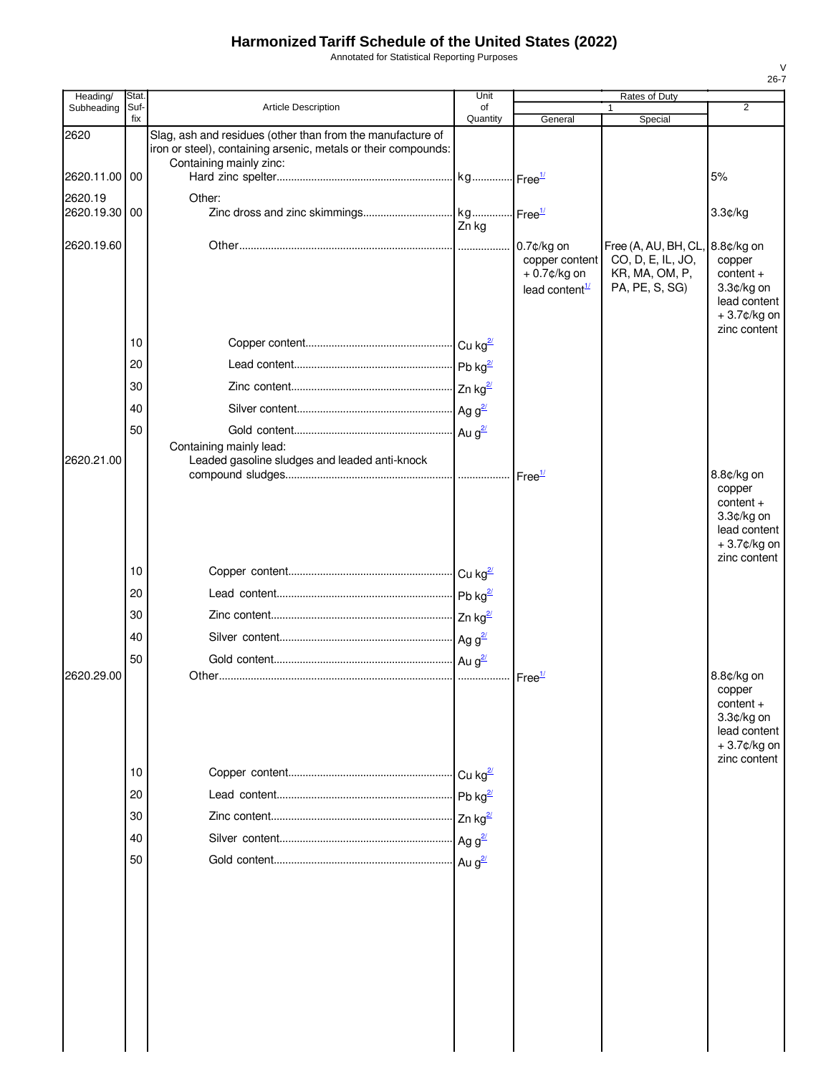Annotated for Statistical Reporting Purposes

| Heading/                 | Stat.       |                                                                                                                              | Unit           |                                                                              | Rates of Duty                                                                 |                                                                                                  |
|--------------------------|-------------|------------------------------------------------------------------------------------------------------------------------------|----------------|------------------------------------------------------------------------------|-------------------------------------------------------------------------------|--------------------------------------------------------------------------------------------------|
| Subheading               | Suf-<br>fix | <b>Article Description</b>                                                                                                   | of<br>Quantity | General                                                                      | 1<br>Special                                                                  | 2                                                                                                |
| 2620                     |             | Slag, ash and residues (other than from the manufacture of<br>iron or steel), containing arsenic, metals or their compounds: |                |                                                                              |                                                                               |                                                                                                  |
| 2620.11.00 00            |             | Containing mainly zinc:                                                                                                      |                |                                                                              |                                                                               | 5%                                                                                               |
| 2620.19<br>2620.19.30 00 |             | Other:                                                                                                                       | Zn kg          |                                                                              |                                                                               | 3.3¢/kg                                                                                          |
| 2620.19.60               |             |                                                                                                                              |                | 0.7¢/kg on<br>copper content<br>$+0.7$ ¢/kg on<br>lead content $\frac{1}{2}$ | Free (A, AU, BH, CL,<br>CO, D, E, IL, JO,<br>KR, MA, OM, P,<br>PA, PE, S, SG) | 8.8¢/kg on<br>copper<br>$content +$<br>3.3¢/kg on<br>lead content<br>+3.7¢/kg on                 |
|                          | 10          |                                                                                                                              |                |                                                                              |                                                                               | zinc content                                                                                     |
|                          | 20          |                                                                                                                              |                |                                                                              |                                                                               |                                                                                                  |
|                          | 30          |                                                                                                                              |                |                                                                              |                                                                               |                                                                                                  |
|                          | 40          |                                                                                                                              |                |                                                                              |                                                                               |                                                                                                  |
|                          | 50          |                                                                                                                              |                |                                                                              |                                                                               |                                                                                                  |
|                          |             | Containing mainly lead:                                                                                                      |                |                                                                              |                                                                               |                                                                                                  |
| 2620.21.00               |             | Leaded gasoline sludges and leaded anti-knock                                                                                |                |                                                                              |                                                                               | 8.8¢/kg on                                                                                       |
|                          |             |                                                                                                                              |                |                                                                              |                                                                               | copper<br>$content +$<br>3.3¢/kg on<br>lead content<br>$+3.7$ ¢/kg on<br>zinc content            |
|                          | 10          |                                                                                                                              |                |                                                                              |                                                                               |                                                                                                  |
|                          | 20          |                                                                                                                              |                |                                                                              |                                                                               |                                                                                                  |
|                          | 30          |                                                                                                                              |                |                                                                              |                                                                               |                                                                                                  |
|                          | 40          |                                                                                                                              |                |                                                                              |                                                                               |                                                                                                  |
|                          | 50          |                                                                                                                              |                |                                                                              |                                                                               |                                                                                                  |
| 2620.29.00               |             |                                                                                                                              |                | $\mathsf{Free}^{\mathcal{U}}$                                                |                                                                               | 8.8¢/kg on<br>copper<br>$content +$<br>3.3¢/kg on<br>lead content<br>+3.7¢/kg on<br>zinc content |
|                          | 10          |                                                                                                                              |                |                                                                              |                                                                               |                                                                                                  |
|                          | 20          |                                                                                                                              |                |                                                                              |                                                                               |                                                                                                  |
|                          | 30          |                                                                                                                              |                |                                                                              |                                                                               |                                                                                                  |
|                          | 40          |                                                                                                                              |                |                                                                              |                                                                               |                                                                                                  |
|                          | 50          |                                                                                                                              |                |                                                                              |                                                                               |                                                                                                  |
|                          |             |                                                                                                                              |                |                                                                              |                                                                               |                                                                                                  |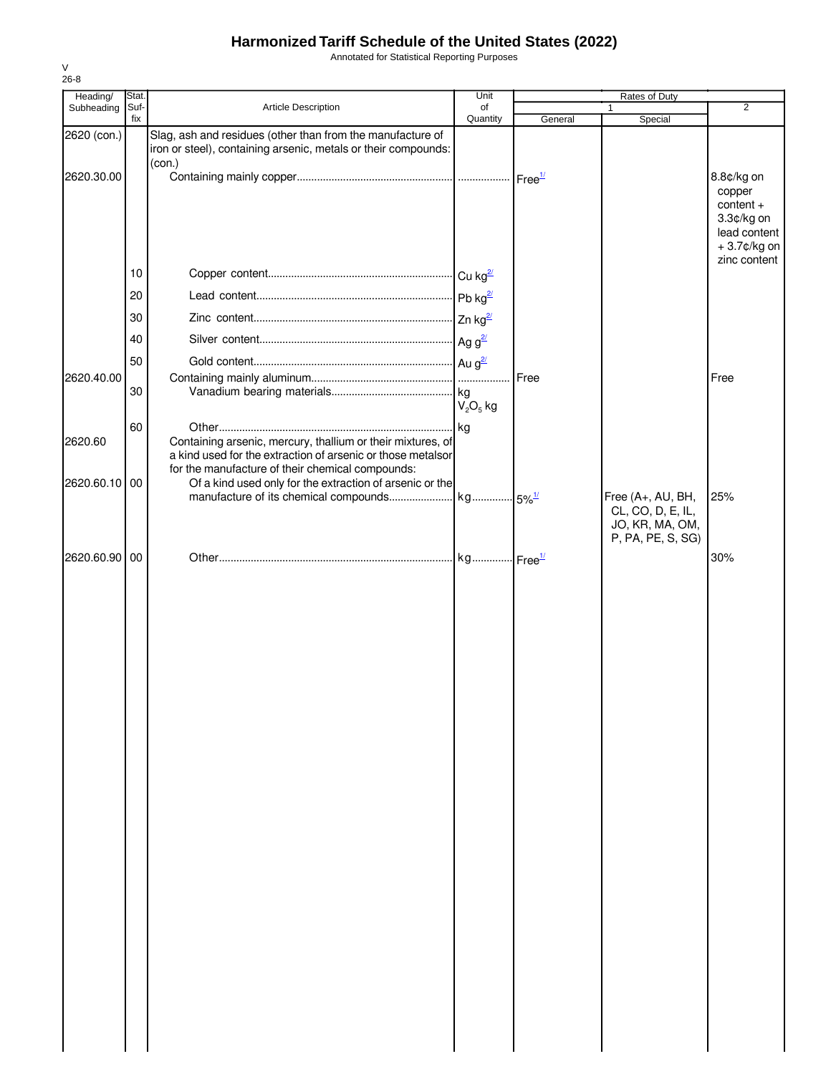Annotated for Statistical Reporting Purposes

| Heading/    | Stat.       |                                                                                                                                                                                | Unit           | Rates of Duty |                                                                                |                                                                                  |
|-------------|-------------|--------------------------------------------------------------------------------------------------------------------------------------------------------------------------------|----------------|---------------|--------------------------------------------------------------------------------|----------------------------------------------------------------------------------|
| Subheading  | Suf-<br>fix | Article Description                                                                                                                                                            | of<br>Quantity | General       | 1<br>Special                                                                   | $\overline{2}$                                                                   |
| 2620 (con.) |             | Slag, ash and residues (other than from the manufacture of<br>iron or steel), containing arsenic, metals or their compounds:                                                   |                |               |                                                                                |                                                                                  |
| 2620.30.00  |             | (con.)                                                                                                                                                                         |                |               |                                                                                | 8.8¢/kg on<br>copper<br>$content +$<br>3.3¢/kg on<br>lead content<br>+3.7¢/kg on |
|             | 10          |                                                                                                                                                                                |                |               |                                                                                | zinc content                                                                     |
|             | 20          |                                                                                                                                                                                |                |               |                                                                                |                                                                                  |
|             | 30          |                                                                                                                                                                                |                |               |                                                                                |                                                                                  |
|             | 40          |                                                                                                                                                                                |                |               |                                                                                |                                                                                  |
|             | 50          |                                                                                                                                                                                |                |               |                                                                                |                                                                                  |
| 2620.40.00  | 30          |                                                                                                                                                                                | $V_2O_5$ kg    | Free          |                                                                                | Free                                                                             |
| 2620.60     | 60          | Containing arsenic, mercury, thallium or their mixtures, of<br>a kind used for the extraction of arsenic or those metalsor<br>for the manufacture of their chemical compounds: |                |               |                                                                                |                                                                                  |
| 2620.60.10  | 00          | Of a kind used only for the extraction of arsenic or the                                                                                                                       |                |               | Free (A+, AU, BH,<br>CL, CO, D, E, IL,<br>JO, KR, MA, OM,<br>P, PA, PE, S, SG) | 25%                                                                              |
| 2620.60.90  | 00          |                                                                                                                                                                                |                |               |                                                                                | 30%                                                                              |
|             |             |                                                                                                                                                                                |                |               |                                                                                |                                                                                  |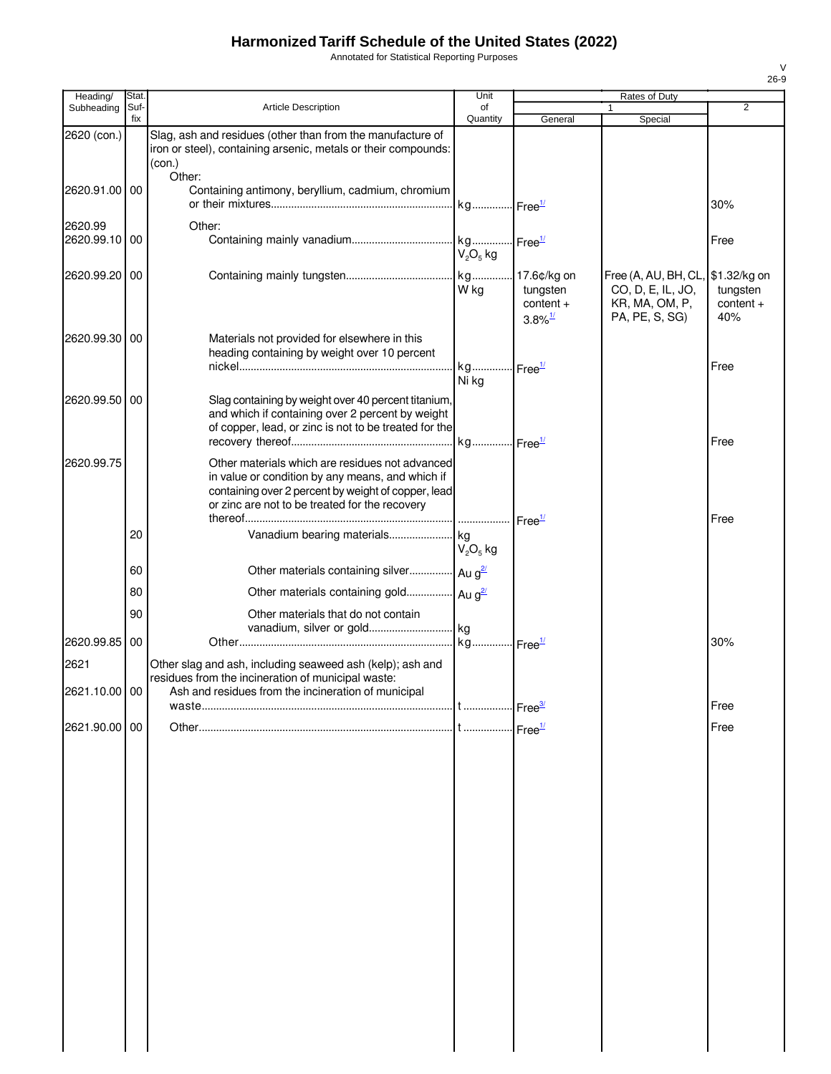Annotated for Statistical Reporting Purposes

| Heading/              | Stat. |                                                                                                                                                                        | Unit                                 |                                                                    | Rates of Duty                                                                              |                                |
|-----------------------|-------|------------------------------------------------------------------------------------------------------------------------------------------------------------------------|--------------------------------------|--------------------------------------------------------------------|--------------------------------------------------------------------------------------------|--------------------------------|
| Subheading            | Suf-  | Article Description                                                                                                                                                    | of                                   |                                                                    |                                                                                            | $\overline{2}$                 |
| 2620 (con.)           | fix   | Slag, ash and residues (other than from the manufacture of<br>iron or steel), containing arsenic, metals or their compounds:<br>(con.)                                 | Quantity                             | General                                                            | Special                                                                                    |                                |
| 2620.91.00 00         |       | Other:<br>Containing antimony, beryllium, cadmium, chromium                                                                                                            | kg Free <sup>1/</sup>                |                                                                    |                                                                                            | 30%                            |
| 2620.99<br>2620.99.10 | 00    | Other:                                                                                                                                                                 | kg Free <sup>1/</sup><br>$V_2O_5$ kg |                                                                    |                                                                                            | Free                           |
| 2620.99.20 00         |       |                                                                                                                                                                        | W kg                                 | kg 17.6¢/kg on<br>tungsten<br>$content +$<br>$3.8\%$ <sup>1/</sup> | Free (A, AU, BH, CL, \$1.32/kg on<br>CO, D, E, IL, JO,<br>KR, MA, OM, P,<br>PA, PE, S, SG) | tungsten<br>$content +$<br>40% |
| 2620.99.30            | 00    | Materials not provided for elsewhere in this<br>heading containing by weight over 10 percent                                                                           | kg Free <sup>1/</sup>                |                                                                    |                                                                                            | Free                           |
| 2620.99.50            | 00    | Slag containing by weight over 40 percent titanium,<br>and which if containing over 2 percent by weight<br>of copper, lead, or zinc is not to be treated for the       | Ni kg                                |                                                                    |                                                                                            |                                |
| 2620.99.75            |       | Other materials which are residues not advanced                                                                                                                        |                                      |                                                                    |                                                                                            | Free                           |
|                       |       | in value or condition by any means, and which if<br>containing over 2 percent by weight of copper, lead<br>or zinc are not to be treated for the recovery              |                                      | Free <sup>1/</sup>                                                 |                                                                                            | Free                           |
|                       | 20    |                                                                                                                                                                        | $V_2O_5$ kg                          |                                                                    |                                                                                            |                                |
|                       | 60    | Other materials containing silver Au a <sup>2/</sup>                                                                                                                   |                                      |                                                                    |                                                                                            |                                |
|                       | 80    | Other materials containing gold Au g <sup>2/</sup>                                                                                                                     |                                      |                                                                    |                                                                                            |                                |
|                       | 90    | Other materials that do not contain<br>vanadium, silver or gold kg                                                                                                     |                                      |                                                                    |                                                                                            |                                |
| 2620.99.85            | 00    |                                                                                                                                                                        |                                      |                                                                    |                                                                                            | 30%                            |
| 2621<br>2621.10.00 00 |       | Other slag and ash, including seaweed ash (kelp); ash and<br>residues from the incineration of municipal waste:<br>Ash and residues from the incineration of municipal |                                      |                                                                    |                                                                                            |                                |
|                       |       |                                                                                                                                                                        |                                      | . Free <sup>3/</sup>                                               |                                                                                            | Free                           |
| 2621.90.00 00         |       |                                                                                                                                                                        |                                      | $\mathsf{I}$ Free $\frac{1}{2}$                                    |                                                                                            | Free                           |
|                       |       |                                                                                                                                                                        |                                      |                                                                    |                                                                                            |                                |